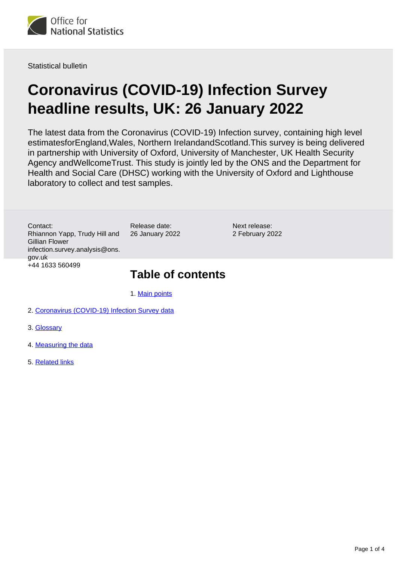

Statistical bulletin

# **Coronavirus (COVID-19) Infection Survey headline results, UK: 26 January 2022**

The latest data from the Coronavirus (COVID-19) Infection survey, containing high level estimatesforEngland,Wales, Northern IrelandandScotland.This survey is being delivered in partnership with University of Oxford, University of Manchester, UK Health Security Agency andWellcomeTrust. This study is jointly led by the ONS and the Department for Health and Social Care (DHSC) working with the University of Oxford and Lighthouse laboratory to collect and test samples.

Contact: Rhiannon Yapp, Trudy Hill and Gillian Flower infection.survey.analysis@ons. gov.uk +44 1633 560499

Release date: 26 January 2022

Next release: 2 February 2022

### **Table of contents**

1. [Main points](#page-1-0)

- 2. [Coronavirus \(COVID-19\) Infection Survey data](#page-2-0)
- 3. [Glossary](#page-2-1)
- 4. [Measuring the data](#page-2-2)
- 5. [Related links](#page-3-0)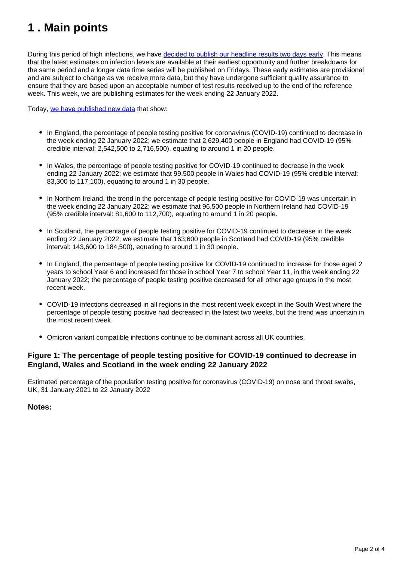# <span id="page-1-0"></span>**1 . Main points**

During this period of high infections, we have [decided to publish our headline results two days early.](https://www.ons.gov.uk/news/statementsandletters/temporarypublicationofearlyresultsfromthecoronaviruscovid19infectionsurvey) This means that the latest estimates on infection levels are available at their earliest opportunity and further breakdowns for the same period and a longer data time series will be published on Fridays. These early estimates are provisional and are subject to change as we receive more data, but they have undergone sufficient quality assurance to ensure that they are based upon an acceptable number of test results received up to the end of the reference week. This week, we are publishing estimates for the week ending 22 January 2022.

Today, [we have published new data](https://www.ons.gov.uk/peoplepopulationandcommunity/healthandsocialcare/conditionsanddiseases/datasets/coronaviruscovid19infectionsurveyheadlineresultsuk) that show:

- In England, the percentage of people testing positive for coronavirus (COVID-19) continued to decrease in the week ending 22 January 2022; we estimate that 2,629,400 people in England had COVID-19 (95% credible interval: 2,542,500 to 2,716,500), equating to around 1 in 20 people.
- In Wales, the percentage of people testing positive for COVID-19 continued to decrease in the week ending 22 January 2022; we estimate that 99,500 people in Wales had COVID-19 (95% credible interval: 83,300 to 117,100), equating to around 1 in 30 people.
- In Northern Ireland, the trend in the percentage of people testing positive for COVID-19 was uncertain in the week ending 22 January 2022; we estimate that 96,500 people in Northern Ireland had COVID-19 (95% credible interval: 81,600 to 112,700), equating to around 1 in 20 people.
- In Scotland, the percentage of people testing positive for COVID-19 continued to decrease in the week ending 22 January 2022; we estimate that 163,600 people in Scotland had COVID-19 (95% credible interval: 143,600 to 184,500), equating to around 1 in 30 people.
- In England, the percentage of people testing positive for COVID-19 continued to increase for those aged 2 years to school Year 6 and increased for those in school Year 7 to school Year 11, in the week ending 22 January 2022; the percentage of people testing positive decreased for all other age groups in the most recent week.
- COVID-19 infections decreased in all regions in the most recent week except in the South West where the percentage of people testing positive had decreased in the latest two weeks, but the trend was uncertain in the most recent week.
- Omicron variant compatible infections continue to be dominant across all UK countries.

#### **Figure 1: The percentage of people testing positive for COVID-19 continued to decrease in England, Wales and Scotland in the week ending 22 January 2022**

Estimated percentage of the population testing positive for coronavirus (COVID-19) on nose and throat swabs, UK, 31 January 2021 to 22 January 2022

#### **Notes:**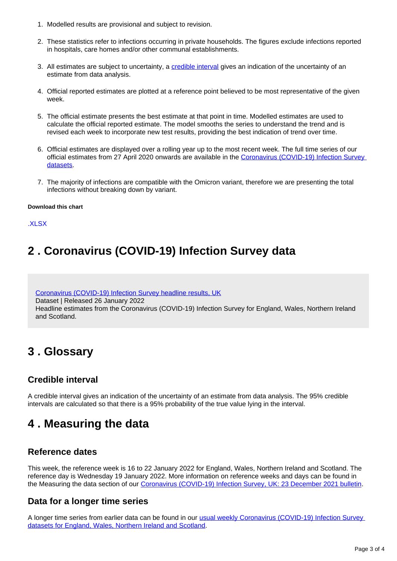- 1. Modelled results are provisional and subject to revision.
- 2. These statistics refer to infections occurring in private households. The figures exclude infections reported in hospitals, care homes and/or other communal establishments.
- 3. All estimates are subject to uncertainty, a [credible interval](https://www.ons.gov.uk/peoplepopulationandcommunity/healthandsocialcare/conditionsanddiseases/bulletins/coronaviruscovid19infectionsurveypilot/latest#glossary) gives an indication of the uncertainty of an estimate from data analysis.
- 4. Official reported estimates are plotted at a reference point believed to be most representative of the given week.
- 5. The official estimate presents the best estimate at that point in time. Modelled estimates are used to calculate the official reported estimate. The model smooths the series to understand the trend and is revised each week to incorporate new test results, providing the best indication of trend over time.
- 6. Official estimates are displayed over a rolling year up to the most recent week. The full time series of our official estimates from 27 April 2020 onwards are available in the [Coronavirus \(COVID-19\) Infection Survey](https://www.ons.gov.uk/peoplepopulationandcommunity/healthandsocialcare/conditionsanddiseases/bulletins/coronaviruscovid19infectionsurveypilot/latest/relateddata)  [datasets.](https://www.ons.gov.uk/peoplepopulationandcommunity/healthandsocialcare/conditionsanddiseases/bulletins/coronaviruscovid19infectionsurveypilot/latest/relateddata)
- 7. The majority of infections are compatible with the Omicron variant, therefore we are presenting the total infections without breaking down by variant.

#### **Download this chart**

[.XLSX](https://www.ons.gov.uk/visualisations/dvc1777/officialestimates/datadownload.xlsx)

# <span id="page-2-0"></span>**2 . Coronavirus (COVID-19) Infection Survey data**

[Coronavirus \(COVID-19\) Infection Survey headline results, UK](https://www.ons.gov.uk/peoplepopulationandcommunity/healthandsocialcare/conditionsanddiseases/datasets/coronaviruscovid19infectionsurveyheadlineresultsuk) Dataset | Released 26 January 2022 Headline estimates from the Coronavirus (COVID-19) Infection Survey for England, Wales, Northern Ireland and Scotland.

# <span id="page-2-1"></span>**3 . Glossary**

### **Credible interval**

A credible interval gives an indication of the uncertainty of an estimate from data analysis. The 95% credible intervals are calculated so that there is a 95% probability of the true value lying in the interval.

## <span id="page-2-2"></span>**4 . Measuring the data**

### **Reference dates**

This week, the reference week is 16 to 22 January 2022 for England, Wales, Northern Ireland and Scotland. The reference day is Wednesday 19 January 2022. More information on reference weeks and days can be found in the Measuring the data section of our [Coronavirus \(COVID-19\) Infection Survey, UK: 23 December 2021 bulletin](https://www.ons.gov.uk/peoplepopulationandcommunity/healthandsocialcare/conditionsanddiseases/bulletins/coronaviruscovid19infectionsurveypilot/23december2021#measuring-the-data).

### **Data for a longer time series**

A longer time series from earlier data can be found in our [usual weekly Coronavirus \(COVID-19\) Infection Survey](https://www.ons.gov.uk/peoplepopulationandcommunity/healthandsocialcare/conditionsanddiseases/bulletins/coronaviruscovid19infectionsurveypilot/14january2022/relateddata)  [datasets for England, Wales, Northern Ireland and Scotland.](https://www.ons.gov.uk/peoplepopulationandcommunity/healthandsocialcare/conditionsanddiseases/bulletins/coronaviruscovid19infectionsurveypilot/14january2022/relateddata)